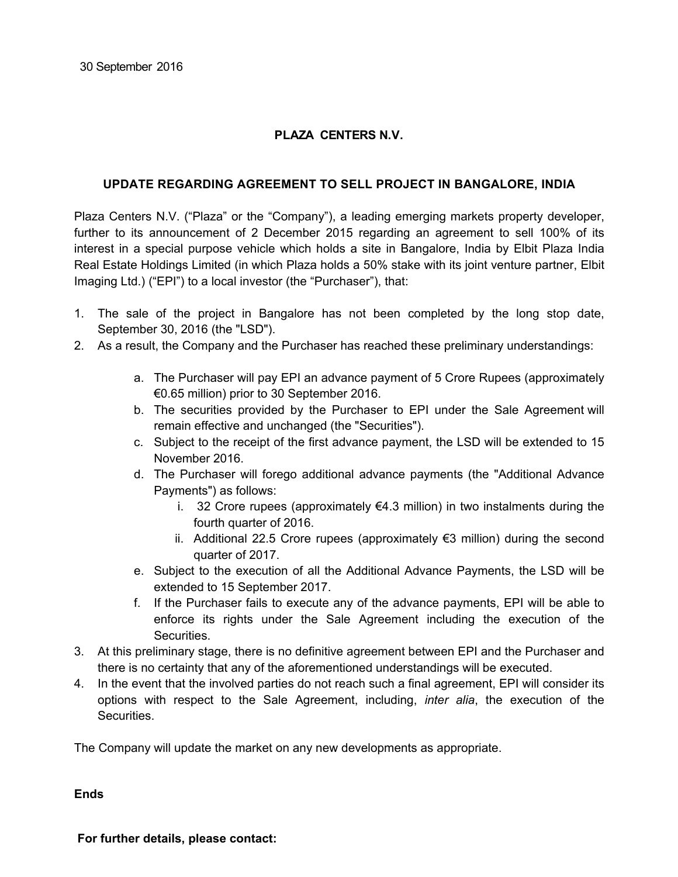## **PLAZA CENTERS N.V.**

## **UPDATE REGARDING AGREEMENT TO SELL PROJECT IN BANGALORE, INDIA**

Plaza Centers N.V. ("Plaza" or the "Company"), a leading emerging markets property developer, further to its announcement of 2 December 2015 regarding an agreement to sell 100% of its interest in a special purpose vehicle which holds a site in Bangalore, India by Elbit Plaza India Real Estate Holdings Limited (in which Plaza holds a 50% stake with its joint venture partner, Elbit Imaging Ltd.) ("EPI") to a local investor (the "Purchaser"), that:

- 1. The sale of the project in Bangalore has not been completed by the long stop date, September 30, 2016 (the "LSD").
- 2. As a result, the Company and the Purchaser has reached these preliminary understandings:
	- a. The Purchaser will pay EPI an advance payment of 5 Crore Rupees (approximately €0.65 million) prior to 30 September 2016.
	- b. The securities provided by the Purchaser to EPI under the Sale Agreement will remain effective and unchanged (the "Securities").
	- c. Subject to the receipt of the first advance payment, the LSD will be extended to 15 November 2016.
	- d. The Purchaser will forego additional advance payments (the "Additional Advance Payments") as follows:
		- i. 32 Crore rupees (approximately  $\epsilon$ 4.3 million) in two instalments during the fourth quarter of 2016.
		- ii. Additional 22.5 Crore rupees (approximately €3 million) during the second quarter of 2017.
	- e. Subject to the execution of all the Additional Advance Payments, the LSD will be extended to 15 September 2017.
	- f. If the Purchaser fails to execute any of the advance payments, EPI will be able to enforce its rights under the Sale Agreement including the execution of the Securities.
- 3. At this preliminary stage, there is no definitive agreement between EPI and the Purchaser and there is no certainty that any of the aforementioned understandings will be executed.
- 4. In the event that the involved parties do not reach such a final agreement, EPI will consider its options with respect to the Sale Agreement, including, *inter alia*, the execution of the Securities.

The Company will update the market on any new developments as appropriate.

**Ends**

**For further details, please contact:**